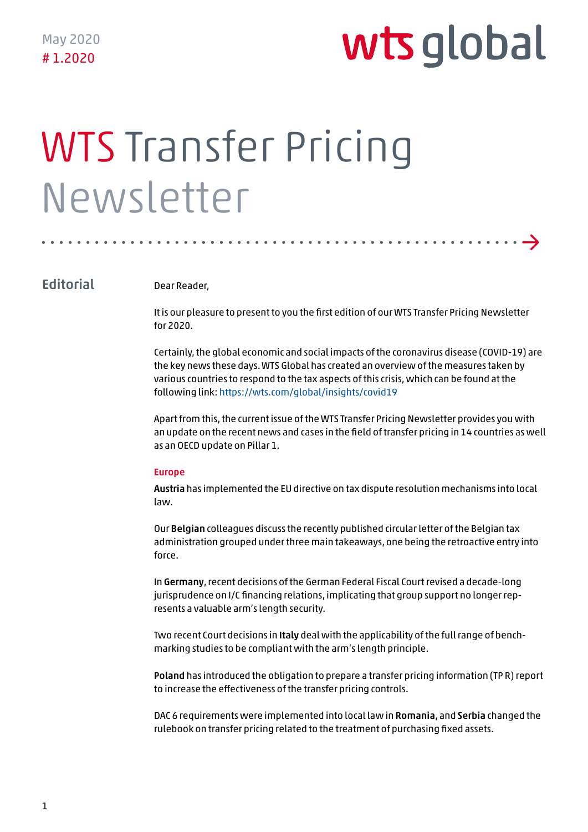→

# WTS Transfer Pricing Newsletter

#### **Editorial**

Dear Reader,

It is our pleasure to present to you the first edition of our WTS Transfer Pricing Newsletter for 2020.

Certainly, the global economic and social impacts of the coronavirus disease (COVID-19) are the key news these days. WTS Global has created an overview of the measures taken by various countries to respond to the tax aspects of this crisis, which can be found at the following link: https://wts.com/global/insights/covid19

Apart from this, the current issue of the WTS Transfer Pricing Newsletter provides you with an update on the recent news and cases in the field of transfer pricing in 14 countries as well as an OECD update on Pillar 1.

#### Europe

Austria has implemented the EU directive on tax dispute resolution mechanisms into local law.

Our Belgian colleagues discuss the recently published circular letter of the Belgian tax administration grouped under three main takeaways, one being the retroactive entry into force.

In Germany, recent decisions of the German Federal Fiscal Court revised a decade-long jurisprudence on I/C financing relations, implicating that group support no longer represents a valuable arm's length security.

Two recent Court decisions in Italy deal with the applicability of the full range of benchmarking studies to be compliant with the arm's length principle.

Poland has introduced the obligation to prepare a transfer pricing information (TP R) report to increase the effectiveness of the transfer pricing controls.

DAC 6 requirements were implemented into local law in Romania, and Serbia changed the rulebook on transfer pricing related to the treatment of purchasing fixed assets.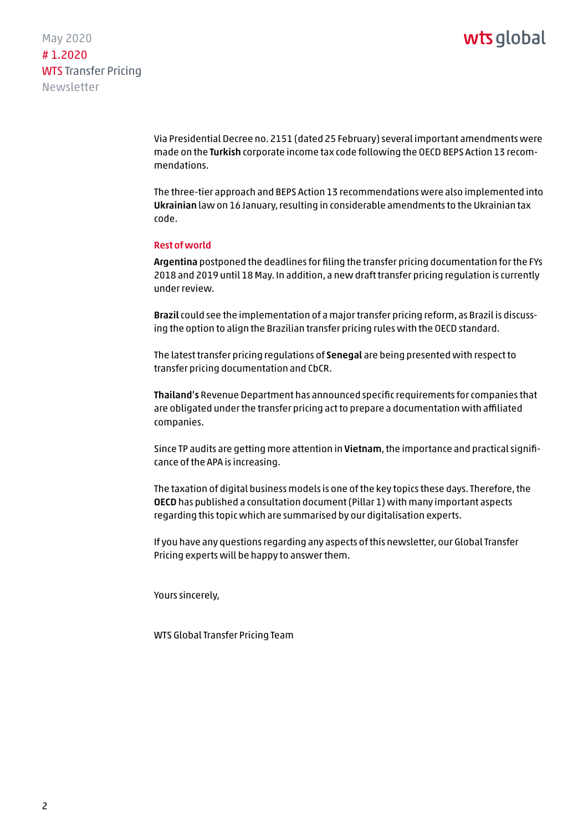May 2020 # 1.2020 WTS Transfer Pricing Newsletter

> Via Presidential Decree no. 2151 (dated 25 February) several important amendments were made on the Turkish corporate income tax code following the OECD BEPS Action 13 recommendations.

> The three-tier approach and BEPS Action 13 recommendations were also implemented into Ukrainian law on 16 January, resulting in considerable amendments to the Ukrainian tax code.

#### Rest of world

Argentina postponed the deadlines for filing the transfer pricing documentation for the FYs 2018 and 2019 until 18 May. In addition, a new draft transfer pricing regulation is currently under review.

Brazil could see the implementation of a major transfer pricing reform, as Brazil is discussing the option to align the Brazilian transfer pricing rules with the OECD standard.

The latest transfer pricing regulations of Senegal are being presented with respect to transfer pricing documentation and CbCR.

Thailand's Revenue Department has announced specific requirements for companies that are obligated under the transfer pricing act to prepare a documentation with affiliated companies.

Since TP audits are getting more attention in Vietnam, the importance and practical significance of the APA is increasing.

The taxation of digital business models is one of the key topics these days. Therefore, the OECD has published a consultation document (Pillar 1) with many important aspects regarding this topic which are summarised by our digitalisation experts.

If you have any questions regarding any aspects of this newsletter, our Global Transfer Pricing experts will be happy to answer them.

Yours sincerely,

WTS Global Transfer Pricing Team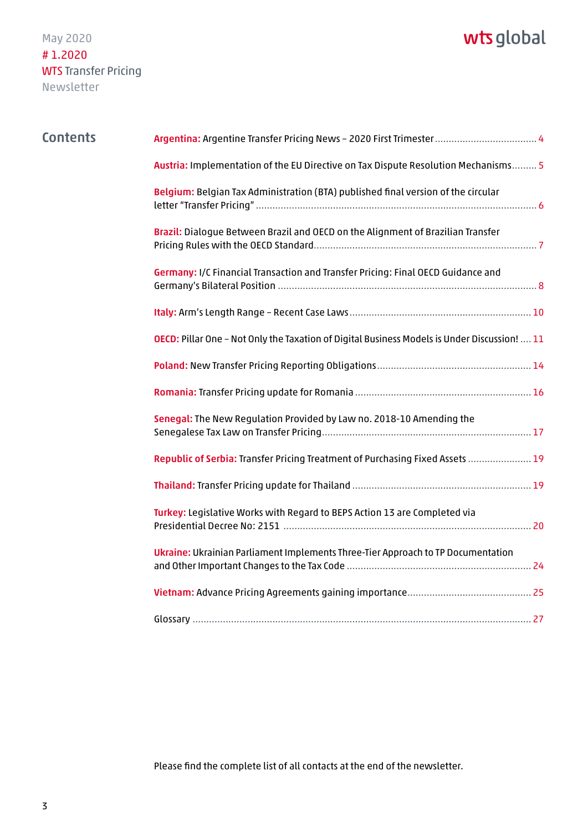## wts global

| <b>Contents</b> |                                                                                              |
|-----------------|----------------------------------------------------------------------------------------------|
|                 | Austria: Implementation of the EU Directive on Tax Dispute Resolution Mechanisms 5           |
|                 | Belgium: Belgian Tax Administration (BTA) published final version of the circular            |
|                 | Brazil: Dialogue Between Brazil and OECD on the Alignment of Brazilian Transfer              |
|                 | Germany: I/C Financial Transaction and Transfer Pricing: Final OECD Guidance and             |
|                 |                                                                                              |
|                 | OECD: Pillar One - Not Only the Taxation of Digital Business Models is Under Discussion!  11 |
|                 |                                                                                              |
|                 |                                                                                              |
|                 | Senegal: The New Regulation Provided by Law no. 2018-10 Amending the                         |
|                 | Republic of Serbia: Transfer Pricing Treatment of Purchasing Fixed Assets  19                |
|                 |                                                                                              |
|                 | Turkey: Legislative Works with Regard to BEPS Action 13 are Completed via                    |
|                 | Ukraine: Ukrainian Parliament Implements Three-Tier Approach to TP Documentation             |
|                 |                                                                                              |
|                 |                                                                                              |

[Please find the complete list of all contacts at the end of the newsletter.](#page-26-0)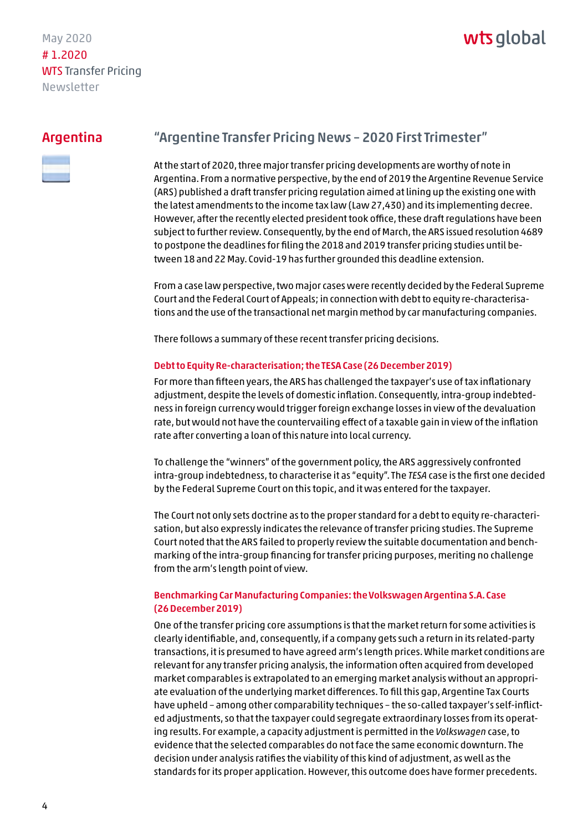### wts alobal

#### <span id="page-3-0"></span>Argentina



#### "Argentine Transfer Pricing News – 2020 First Trimester"

At the start of 2020, three major transfer pricing developments are worthy of note in Argentina. From a normative perspective, by the end of 2019 the Argentine Revenue Service (ARS) published a draft transfer pricing regulation aimed at lining up the existing one with the latest amendments to the income tax law (Law 27,430) and its implementing decree. However, after the recently elected president took office, these draft regulations have been subject to further review. Consequently, by the end of March, the ARS issued resolution 4689 to postpone the deadlines for filing the 2018 and 2019 transfer pricing studies until between 18 and 22 May. Covid-19 has further grounded this deadline extension.

From a case law perspective, two major cases were recently decided by the Federal Supreme Court and the Federal Court of Appeals; in connection with debt to equity re-characterisations and the use of the transactional net margin method by car manufacturing companies.

There follows a summary of these recent transfer pricing decisions.

#### Debt to Equity Re-characterisation; the TESA Case (26 December 2019)

For more than fifteen years, the ARS has challenged the taxpayer's use of tax inflationary adjustment, despite the levels of domestic inflation. Consequently, intra-group indebtedness in foreign currency would trigger foreign exchange losses in view of the devaluation rate, but would not have the countervailing effect of a taxable gain in view of the inflation rate after converting a loan of this nature into local currency.

To challenge the "winners" of the government policy, the ARS aggressively confronted intra-group indebtedness, to characterise it as "equity". The *TESA* case is the first one decided by the Federal Supreme Court on this topic, and it was entered for the taxpayer.

The Court not only sets doctrine as to the proper standard for a debt to equity re-characterisation, but also expressly indicates the relevance of transfer pricing studies. The Supreme Court noted that the ARS failed to properly review the suitable documentation and benchmarking of the intra-group financing for transfer pricing purposes, meriting no challenge from the arm's length point of view.

#### Benchmarking Car Manufacturing Companies: the Volkswagen Argentina S.A. Case (26 December 2019)

One of the transfer pricing core assumptions is that the market return for some activities is clearly identifiable, and, consequently, if a company gets such a return in its related-party transactions, it is presumed to have agreed arm's length prices. While market conditions are relevant for any transfer pricing analysis, the information often acquired from developed market comparables is extrapolated to an emerging market analysis without an appropriate evaluation of the underlying market differences. To fill this gap, Argentine Tax Courts have upheld – among other comparability techniques – the so-called taxpayer's self-inflicted adjustments, so that the taxpayer could segregate extraordinary losses from its operating results. For example, a capacity adjustment is permitted in the *Volkswagen* case, to evidence that the selected comparables do not face the same economic downturn. The decision under analysis ratifies the viability of this kind of adjustment, as well as the standards for its proper application. However, this outcome does have former precedents.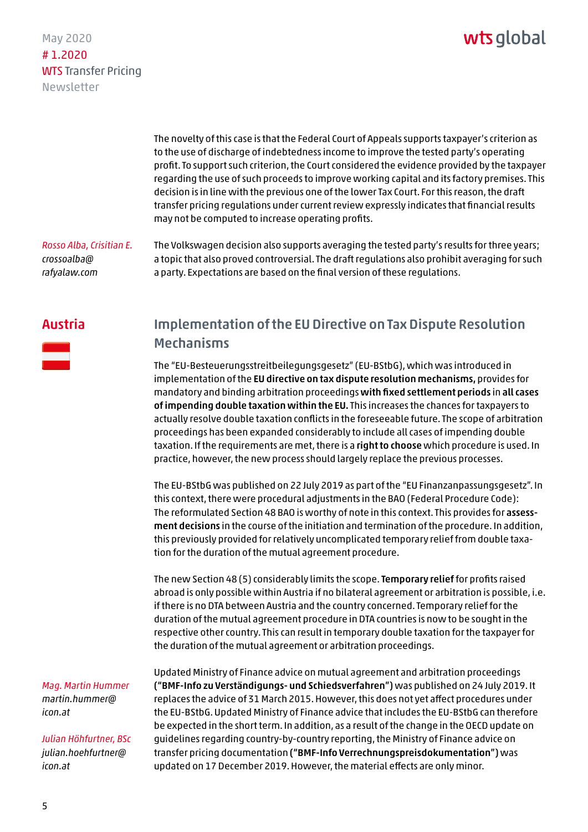<span id="page-4-0"></span>May 2020 # 1.2020 WTS Transfer Pricing Newsletter

> The novelty of this case is that the Federal Court of Appeals supports taxpayer's criterion as to the use of discharge of indebtedness income to improve the tested party's operating profit. To support such criterion, the Court considered the evidence provided by the taxpayer regarding the use of such proceeds to improve working capital and its factory premises. This decision is in line with the previous one of the lower Tax Court. For this reason, the draft transfer pricing regulations under current review expressly indicates that financial results may not be computed to increase operating profits.

*Rosso Alba, Crisitian E. crossoalba@ [rafyalaw.com](mailto:crossoalba@rafyalaw.com)* 

The Volkswagen decision also supports averaging the tested party's results for three years; a topic that also proved controversial. The draft regulations also prohibit averaging for such a party. Expectations are based on the final version of these regulations.

#### Austria



#### Implementation of the EU Directive on Tax Dispute Resolution Mechanisms

The "EU-Besteuerungsstreitbeilegungsgesetz" (EU-BStbG), which was introduced in implementation of the EU directive on tax dispute resolution mechanisms, provides for mandatory and binding arbitration proceedings with fixed settlement periods in all cases of impending double taxation within the EU. This increases the chances for taxpayers to actually resolve double taxation conflicts in the foreseeable future. The scope of arbitration proceedings has been expanded considerably to include all cases of impending double taxation. If the requirements are met, there is a right to choose which procedure is used. In practice, however, the new process should largely replace the previous processes.

The EU-BStbG was published on 22 July 2019 as part of the "EU Finanzanpassungsgesetz". In this context, there were procedural adjustments in the BAO (Federal Procedure Code): The reformulated Section 48 BAO is worthy of note in this context. This provides for assessment decisions in the course of the initiation and termination of the procedure. In addition, this previously provided for relatively uncomplicated temporary relief from double taxation for the duration of the mutual agreement procedure.

The new Section 48 (5) considerably limits the scope. Temporary relief for profits raised abroad is only possible within Austria if no bilateral agreement or arbitration is possible, i.e. if there is no DTA between Austria and the country concerned. Temporary relief for the duration of the mutual agreement procedure in DTA countries is now to be sought in the respective other country. This can result in temporary double taxation for the taxpayer for the duration of the mutual agreement or arbitration proceedings.

*Mag. Martin Hummer [martin.hummer@](mailto:martin.hummer@icon.at) icon.at*

*Julian Höhfurtner, BSc [julian.hoehfurtner@](mailto:julian.hoehfurtner@icon.at) icon.at*

Updated Ministry of Finance advice on mutual agreement and arbitration proceedings ("BMF-Info zu Verständigungs- und Schiedsverfahren") was published on 24 July 2019. It replaces the advice of 31 March 2015. However, this does not yet affect procedures under the EU-BStbG. Updated Ministry of Finance advice that includes the EU-BStbG can therefore be expected in the short term. In addition, as a result of the change in the OECD update on guidelines regarding country-by-country reporting, the Ministry of Finance advice on transfer pricing documentation ("BMF-Info Verrechnungspreisdokumentation") was updated on 17 December 2019. However, the material effects are only minor.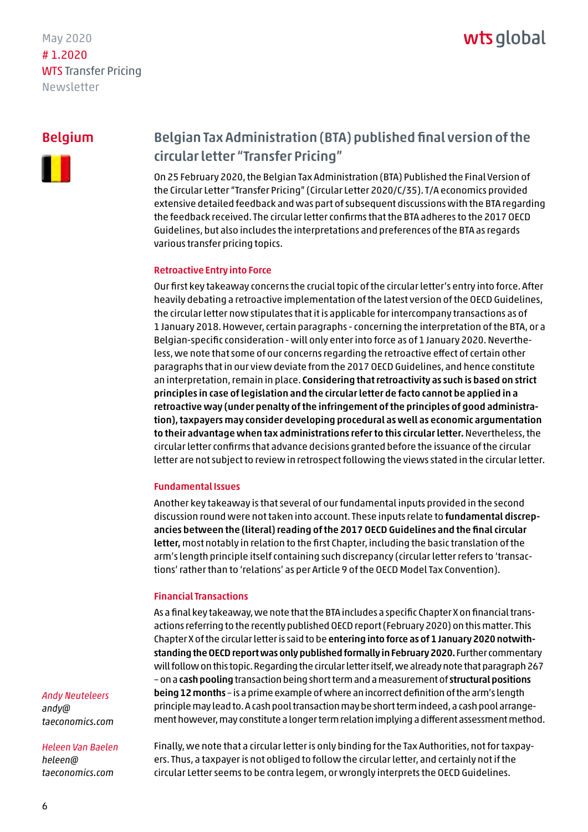### wts alobal

#### <span id="page-5-0"></span>Belgium



#### Belgian Tax Administration (BTA) published final version of the circular letter "Transfer Pricing"

On 25 February 2020, the Belgian Tax Administration (BTA) Published the Final Version of the Circular Letter "Transfer Pricing" (Circular Letter 2020/C/35). T/A economics provided extensive detailed feedback and was part of subsequent discussions with the BTA regarding the feedback received. The circular letter confirms that the BTA adheres to the 2017 OECD Guidelines, but also includes the interpretations and preferences of the BTA as regards various transfer pricing topics.

#### Retroactive Entry into Force

Our first key takeaway concerns the crucial topic of the circular letter's entry into force. After heavily debating a retroactive implementation of the latest version of the OECD Guidelines, the circular letter now stipulates that it is applicable for intercompany transactions as of 1 January 2018. However, certain paragraphs - concerning the interpretation of the BTA, or a Belgian-specific consideration - will only enter into force as of 1 January 2020. Nevertheless, we note that some of our concerns regarding the retroactive effect of certain other paragraphs that in our view deviate from the 2017 OECD Guidelines, and hence constitute an interpretation, remain in place. Considering that retroactivity as such is based on strict principles in case of legislation and the circular letter de facto cannot be applied in a retroactive way (under penalty of the infringement of the principles of good administration), taxpayers may consider developing procedural as well as economic argumentation to their advantage when tax administrations refer to this circular letter. Nevertheless, the circular letter confirms that advance decisions granted before the issuance of the circular letter are not subject to review in retrospect following the views stated in the circular letter.

#### Fundamental Issues

Another key takeaway is that several of our fundamental inputs provided in the second discussion round were not taken into account. These inputs relate to fundamental discrepancies between the (literal) reading of the 2017 OECD Guidelines and the final circular letter, most notably in relation to the first Chapter, including the basic translation of the arm's length principle itself containing such discrepancy (circular letter refers to 'transactions' rather than to 'relations' as per Article 9 of the OECD Model Tax Convention).

#### Financial Transactions

As a final key takeaway, we note that the BTA includes a specific Chapter X on financial transactions referring to the recently published OECD report (February 2020) on this matter. This Chapter X of the circular letter is said to be entering into force as of 1 January 2020 notwithstanding the OECD report was only published formally in February 2020. Further commentary will follow on this topic. Regarding the circular letter itself, we already note that paragraph 267 – on a cash pooling transaction being short term and a measurement of structural positions being 12 months – is a prime example of where an incorrect definition of the arm's length principle may lead to. A cash pool transaction may be short term indeed, a cash pool arrangement however, may constitute a longer term relation implying a different assessment method.

*Andy Neuteleers andy@ [taeconomics.com](mailto:andy@taeconomics.com)*

#### *Heleen Van Baelen heleen@ [taeconomics.com](mailto:heleen@taeconomics.com)*

Finally, we note that a circular letter is only binding for the Tax Authorities, not for taxpayers. Thus, a taxpayer is not obliged to follow the circular letter, and certainly not if the circular Letter seems to be contra legem, or wrongly interprets the OECD Guidelines.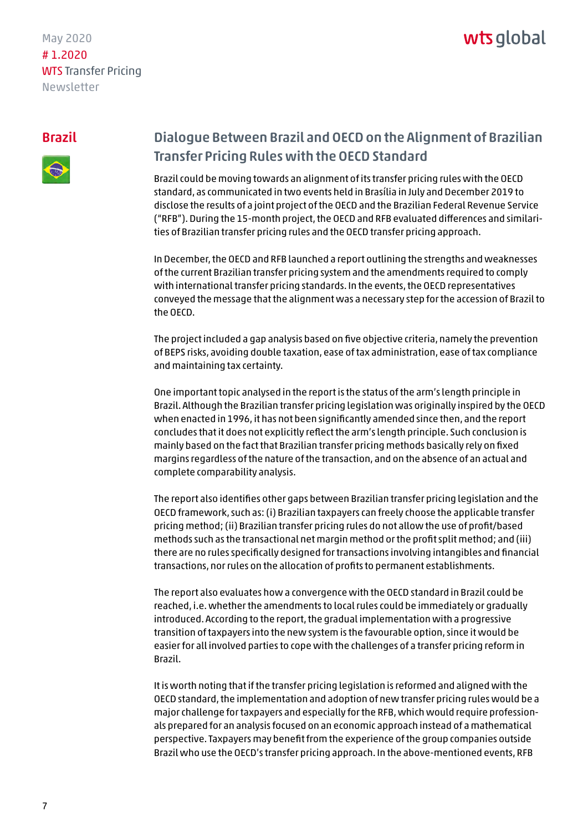## wts alobal

#### <span id="page-6-0"></span>Brazil



### Dialogue Between Brazil and OECD on the Alignment of Brazilian Transfer Pricing Rules with the OECD Standard

Brazil could be moving towards an alignment of its transfer pricing rules with the OECD standard, as communicated in two events held in Brasília in July and December 2019 to disclose the results of a joint project of the OECD and the Brazilian Federal Revenue Service ("RFB"). During the 15-month project, the OECD and RFB evaluated differences and similarities of Brazilian transfer pricing rules and the OECD transfer pricing approach.

In December, the OECD and RFB launched a report outlining the strengths and weaknesses of the current Brazilian transfer pricing system and the amendments required to comply with international transfer pricing standards. In the events, the OECD representatives conveyed the message that the alignment was a necessary step for the accession of Brazil to the OECD.

The project included a gap analysis based on five objective criteria, namely the prevention of BEPS risks, avoiding double taxation, ease of tax administration, ease of tax compliance and maintaining tax certainty.

One important topic analysed in the report is the status of the arm's length principle in Brazil. Although the Brazilian transfer pricing legislation was originally inspired by the OECD when enacted in 1996, it has not been significantly amended since then, and the report concludes that it does not explicitly reflect the arm's length principle. Such conclusion is mainly based on the fact that Brazilian transfer pricing methods basically rely on fixed margins regardless of the nature of the transaction, and on the absence of an actual and complete comparability analysis.

The report also identifies other gaps between Brazilian transfer pricing legislation and the OECD framework, such as: (i) Brazilian taxpayers can freely choose the applicable transfer pricing method; (ii) Brazilian transfer pricing rules do not allow the use of profit/based methods such as the transactional net margin method or the profit split method; and (iii) there are no rules specifically designed for transactions involving intangibles and financial transactions, nor rules on the allocation of profits to permanent establishments.

The report also evaluates how a convergence with the OECD standard in Brazil could be reached, i.e. whether the amendments to local rules could be immediately or gradually introduced. According to the report, the gradual implementation with a progressive transition of taxpayers into the new system is the favourable option, since it would be easier for all involved parties to cope with the challenges of a transfer pricing reform in Brazil.

It is worth noting that if the transfer pricing legislation is reformed and aligned with the OECD standard, the implementation and adoption of new transfer pricing rules would be a major challenge for taxpayers and especially for the RFB, which would require professionals prepared for an analysis focused on an economic approach instead of a mathematical perspective. Taxpayers may benefit from the experience of the group companies outside Brazil who use the OECD's transfer pricing approach. In the above-mentioned events, RFB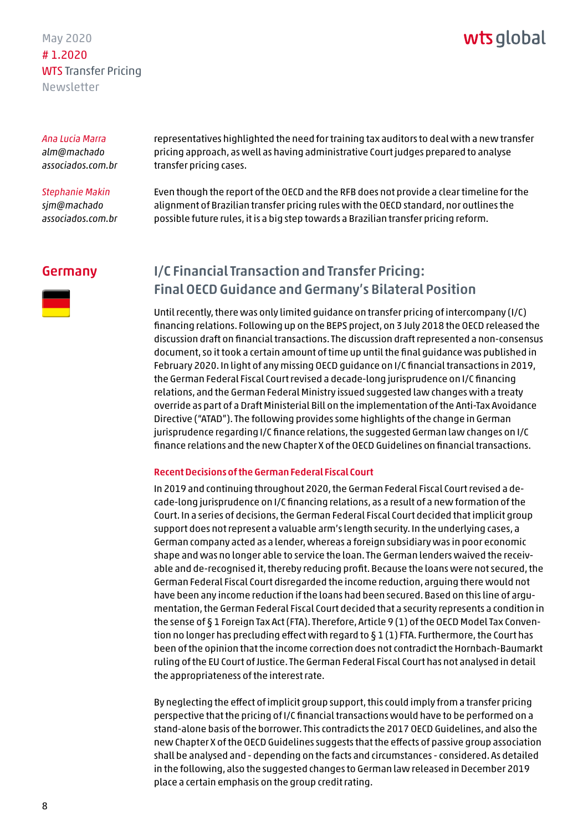### wts global

<span id="page-7-0"></span>*Ana Lucia Marra alm@machado [associados.com.br](mailto:alm@machadoassociados.com.br)* 

*Stephanie Makin sjm@machado [associados.com.br](mailto:sjm@machadoassociados.com.br)* 

representatives highlighted the need for training tax auditors to deal with a new transfer pricing approach, as well as having administrative Court judges prepared to analyse transfer pricing cases.

Even though the report of the OECD and the RFB does not provide a clear timeline for the alignment of Brazilian transfer pricing rules with the OECD standard, nor outlines the possible future rules, it is a big step towards a Brazilian transfer pricing reform.

#### Germany



### I/C Financial Transaction and Transfer Pricing: Final OECD Guidance and Germany's Bilateral Position

Until recently, there was only limited guidance on transfer pricing of intercompany (I/C) financing relations. Following up on the BEPS project, on 3 July 2018 the OECD released the discussion draft on financial transactions. The discussion draft represented a non-consensus document, so it took a certain amount of time up until the final guidance was published in February 2020. In light of any missing OECD guidance on I/C financial transactions in 2019, the German Federal Fiscal Court revised a decade-long jurisprudence on I/C financing relations, and the German Federal Ministry issued suggested law changes with a treaty override as part of a Draft Ministerial Bill on the implementation of the Anti-Tax Avoidance Directive ("ATAD"). The following provides some highlights of the change in German jurisprudence regarding I/C finance relations, the suggested German law changes on I/C finance relations and the new Chapter X of the OECD Guidelines on financial transactions.

#### Recent Decisions of the German Federal Fiscal Court

In 2019 and continuing throughout 2020, the German Federal Fiscal Court revised a decade-long jurisprudence on I/C financing relations, as a result of a new formation of the Court. In a series of decisions, the German Federal Fiscal Court decided that implicit group support does not represent a valuable arm's length security. In the underlying cases, a German company acted as a lender, whereas a foreign subsidiary was in poor economic shape and was no longer able to service the loan. The German lenders waived the receivable and de-recognised it, thereby reducing profit. Because the loans were not secured, the German Federal Fiscal Court disregarded the income reduction, arguing there would not have been any income reduction if the loans had been secured. Based on this line of argumentation, the German Federal Fiscal Court decided that a security represents a condition in the sense of § 1 Foreign Tax Act (FTA). Therefore, Article 9 (1) of the OECD Model Tax Convention no longer has precluding effect with regard to  $\S 1(1)$  FTA. Furthermore, the Court has been of the opinion that the income correction does not contradict the Hornbach-Baumarkt ruling of the EU Court of Justice. The German Federal Fiscal Court has not analysed in detail the appropriateness of the interest rate.

By neglecting the effect of implicit group support, this could imply from a transfer pricing perspective that the pricing of I/C financial transactions would have to be performed on a stand-alone basis of the borrower. This contradicts the 2017 OECD Guidelines, and also the new Chapter X of the OECD Guidelines suggests that the effects of passive group association shall be analysed and - depending on the facts and circumstances - considered. As detailed in the following, also the suggested changes to German law released in December 2019 place a certain emphasis on the group credit rating.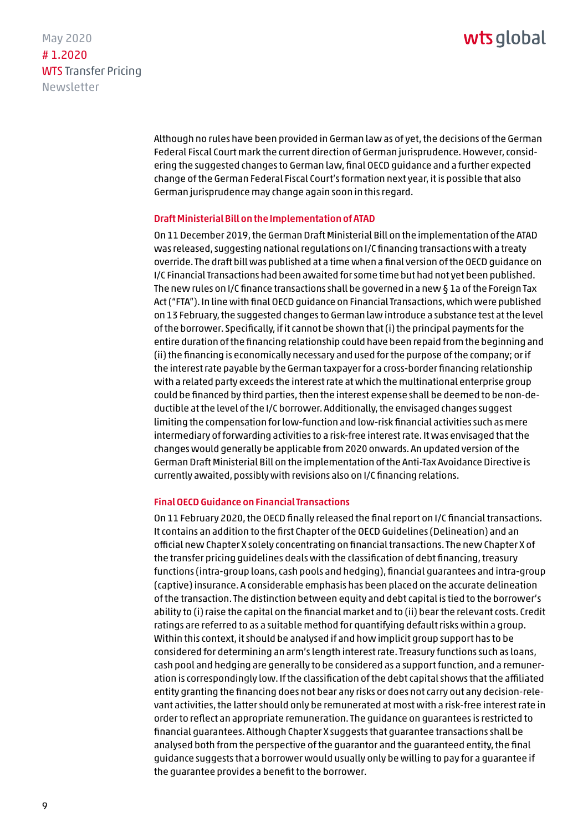### wts alobal

May 2020 # 1.2020 WTS Transfer Pricing Newsletter

> Although no rules have been provided in German law as of yet, the decisions of the German Federal Fiscal Court mark the current direction of German jurisprudence. However, considering the suggested changes to German law, final OECD guidance and a further expected change of the German Federal Fiscal Court's formation next year, it is possible that also German jurisprudence may change again soon in this regard.

#### Draft Ministerial Bill on the Implementation of ATAD

On 11 December 2019, the German Draft Ministerial Bill on the implementation of the ATAD was released, suggesting national regulations on I/C financing transactions with a treaty override. The draft bill was published at a time when a final version of the OECD guidance on I/C Financial Transactions had been awaited for some time but had not yet been published. The new rules on I/C finance transactions shall be governed in a new § 1a of the Foreign Tax Act ("FTA"). In line with final OECD guidance on Financial Transactions, which were published on 13 February, the suggested changes to German law introduce a substance test at the level of the borrower. Specifically, if it cannot be shown that (i) the principal payments for the entire duration of the financing relationship could have been repaid from the beginning and (ii) the financing is economically necessary and used for the purpose of the company; or if the interest rate payable by the German taxpayer for a cross-border financing relationship with a related party exceeds the interest rate at which the multinational enterprise group could be financed by third parties, then the interest expense shall be deemed to be non-deductible at the level of the I/C borrower. Additionally, the envisaged changes suggest limiting the compensation for low-function and low-risk financial activities such as mere intermediary of forwarding activities to a risk-free interest rate. It was envisaged that the changes would generally be applicable from 2020 onwards. An updated version of the German Draft Ministerial Bill on the implementation of the Anti-Tax Avoidance Directive is currently awaited, possibly with revisions also on I/C financing relations.

#### Final OECD Guidance on Financial Transactions

On 11 February 2020, the OECD finally released the final report on I/C financial transactions. It contains an addition to the first Chapter of the OECD Guidelines (Delineation) and an official new Chapter X solely concentrating on financial transactions. The new Chapter X of the transfer pricing guidelines deals with the classification of debt financing, treasury functions (intra-group loans, cash pools and hedging), financial guarantees and intra-group (captive) insurance. A considerable emphasis has been placed on the accurate delineation of the transaction. The distinction between equity and debt capital is tied to the borrower's ability to (i) raise the capital on the financial market and to (ii) bear the relevant costs. Credit ratings are referred to as a suitable method for quantifying default risks within a group. Within this context, it should be analysed if and how implicit group support has to be considered for determining an arm's length interest rate. Treasury functions such as loans, cash pool and hedging are generally to be considered as a support function, and a remuneration is correspondingly low. If the classification of the debt capital shows that the affiliated entity granting the financing does not bear any risks or does not carry out any decision-relevant activities, the latter should only be remunerated at most with a risk-free interest rate in order to reflect an appropriate remuneration. The guidance on guarantees is restricted to financial guarantees. Although Chapter X suggests that guarantee transactions shall be analysed both from the perspective of the guarantor and the guaranteed entity, the final guidance suggests that a borrower would usually only be willing to pay for a guarantee if the guarantee provides a benefit to the borrower.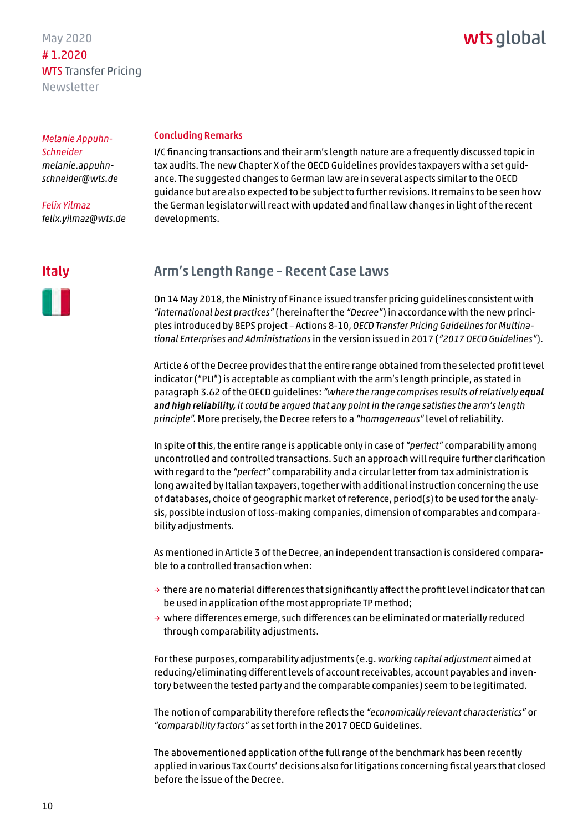### wts global

<span id="page-9-0"></span>*Melanie Appuhn-Schneider melanie.appuhn[schneider@wts.de](mailto:melanie.appuhn-schneider@wts.de)*

*Felix Yilmaz felix.yilmaz@wts.de*

## Concluding Remarks

I/C financing transactions and their arm's length nature are a frequently discussed topic in tax audits. The new Chapter X of the OECD Guidelines provides taxpayers with a set guidance. The suggested changes to German law are in several aspects similar to the OECD guidance but are also expected to be subject to further revisions. It remains to be seen how the German legislator will react with updated and final law changes in light of the recent developments.

#### Italy



#### Arm's Length Range – Recent Case Laws

On 14 May 2018, the Ministry of Finance issued transfer pricing guidelines consistent with *"international best practices"* (hereinafter the *"Decree"*) in accordance with the new principles introduced by BEPS project – Actions 8-10, *OECD Transfer Pricing Guidelines for Multinational Enterprises and Administrations* in the version issued in 2017 (*"2017 OECD Guidelines"*).

Article 6 of the Decree provides that the entire range obtained from the selected profit level indicator ("PLI") is acceptable as compliant with the arm's length principle, as stated in paragraph 3.62 of the OECD guidelines: *"where the range comprises results of relatively equal and high reliability, it could be argued that any point in the range satisfies the arm's length principle".* More precisely, the Decree refers to a *"homogeneous"* level of reliability.

In spite of this, the entire range is applicable only in case of *"perfect"* comparability among uncontrolled and controlled transactions. Such an approach will require further clarification with regard to the *"perfect"* comparability and a circular letter from tax administration is long awaited by Italian taxpayers, together with additional instruction concerning the use of databases, choice of geographic market of reference, period(s) to be used for the analysis, possible inclusion of loss-making companies, dimension of comparables and comparability adjustments.

As mentioned in Article 3 of the Decree, an independent transaction is considered comparable to a controlled transaction when:

- $\rightarrow$  there are no material differences that significantly affect the profit level indicator that can be used in application of the most appropriate TP method;
- $\rightarrow$  where differences emerge, such differences can be eliminated or materially reduced through comparability adjustments.

For these purposes, comparability adjustments (e.g. *working capital adjustment* aimed at reducing/eliminating different levels of account receivables, account payables and inventory between the tested party and the comparable companies) seem to be legitimated.

The notion of comparability therefore reflects the *"economically relevant characteristics"* or *"comparability factors"* as set forth in the 2017 OECD Guidelines.

The abovementioned application of the full range of the benchmark has been recently applied in various Tax Courts' decisions also for litigations concerning fiscal years that closed before the issue of the Decree.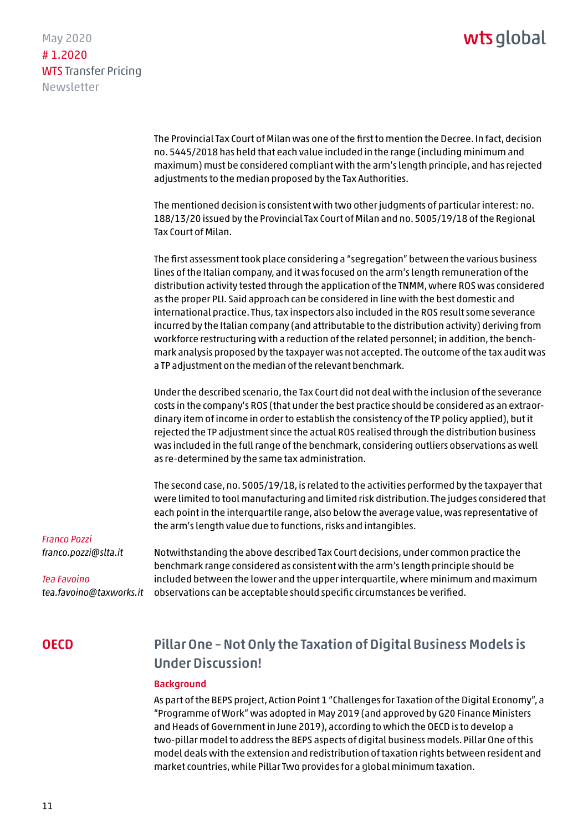<span id="page-10-0"></span>May 2020 # 1.2020 WTS Transfer Pricing Newsletter

> The Provincial Tax Court of Milan was one of the first to mention the Decree. In fact, decision no. 5445/2018 has held that each value included in the range (including minimum and maximum) must be considered compliant with the arm's length principle, and has rejected adjustments to the median proposed by the Tax Authorities.

The mentioned decision is consistent with two other judgments of particular interest: no. 188/13/20 issued by the Provincial Tax Court of Milan and no. 5005/19/18 of the Regional Tax Court of Milan.

The first assessment took place considering a "segregation" between the various business lines of the Italian company, and it was focused on the arm's length remuneration of the distribution activity tested through the application of the TNMM, where ROS was considered as the proper PLI. Said approach can be considered in line with the best domestic and international practice. Thus, tax inspectors also included in the ROS result some severance incurred by the Italian company (and attributable to the distribution activity) deriving from workforce restructuring with a reduction of the related personnel; in addition, the benchmark analysis proposed by the taxpayer was not accepted. The outcome of the tax audit was a TP adjustment on the median of the relevant benchmark.

Under the described scenario, the Tax Court did not deal with the inclusion of the severance costs in the company's ROS (that under the best practice should be considered as an extraordinary item of income in order to establish the consistency of the TP policy applied), but it rejected the TP adjustment since the actual ROS realised through the distribution business was included in the full range of the benchmark, considering outliers observations as well as re-determined by the same tax administration.

The second case, no. 5005/19/18, is related to the activities performed by the taxpayer that were limited to tool manufacturing and limited risk distribution. The judges considered that each point in the interquartile range, also below the average value, was representative of the arm's length value due to functions, risks and intangibles.

*Franco Pozzi franco.pozzi@slta.it*

*Tea Favoino tea.favoino@taxworks.it* 

Notwithstanding the above described Tax Court decisions, under common practice the benchmark range considered as consistent with the arm's length principle should be included between the lower and the upper interquartile, where minimum and maximum observations can be acceptable should specific circumstances be verified.

#### **OECD**

### Pillar One – Not Only the Taxation of Digital Business Models is Under Discussion!

#### Background

As part of the BEPS project, Action Point 1 "Challenges for Taxation of the Digital Economy", a "Programme of Work" was adopted in May 2019 (and approved by G20 Finance Ministers and Heads of Government in June 2019), according to which the OECD is to develop a two-pillar model to address the BEPS aspects of digital business models. Pillar One of this model deals with the extension and redistribution of taxation rights between resident and market countries, while Pillar Two provides for a global minimum taxation.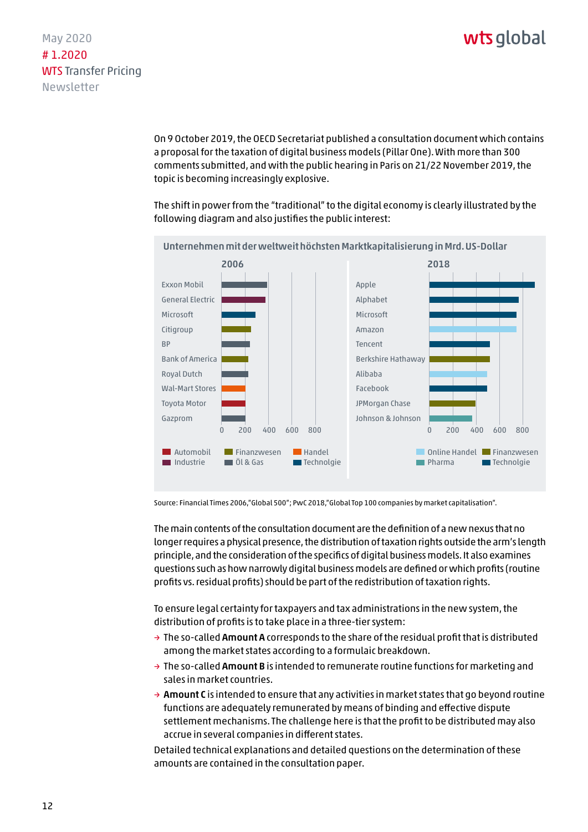On 9 October 2019, the OECD Secretariat published a consultation document which contains a proposal for the taxation of digital business models (Pillar One). With more than 300 comments submitted, and with the public hearing in Paris on 21/22 November 2019, the topic is becoming increasingly explosive.

The shift in power from the "traditional" to the digital economy is clearly illustrated by the following diagram and also justifies the public interest:



Source: Financial Times 2006,"Global 500"; PwC 2018,"Global Top 100 companies by market capitalisation".

The main contents of the consultation document are the definition of a new nexus that no longer requires a physical presence, the distribution of taxation rights outside the arm's length principle, and the consideration of the specifics of digital business models. It also examines questions such as how narrowly digital business models are defined or which profits (routine profits vs. residual profits) should be part of the redistribution of taxation rights.

To ensure legal certainty for taxpayers and tax administrations in the new system, the distribution of profits is to take place in a three-tier system:

- $\rightarrow$  The so-called Amount A corresponds to the share of the residual profit that is distributed among the market states according to a formulaic breakdown.
- $\rightarrow$  The so-called Amount B is intended to remunerate routine functions for marketing and sales in market countries.
- $\rightarrow$  Amount C is intended to ensure that any activities in market states that go beyond routine functions are adequately remunerated by means of binding and effective dispute settlement mechanisms. The challenge here is that the profit to be distributed may also accrue in several companies in different states.

Detailed technical explanations and detailed questions on the determination of these amounts are contained in the consultation paper.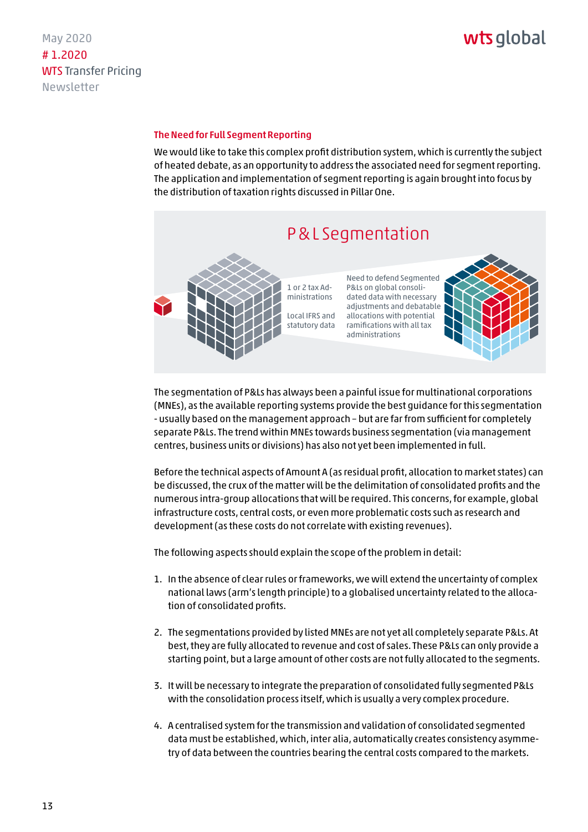## wts global

#### The Need for Full Segment Reporting

We would like to take this complex profit distribution system, which is currently the subject of heated debate, as an opportunity to address the associated need for segment reporting. The application and implementation of segment reporting is again brought into focus by the distribution of taxation rights discussed in Pillar One.



The segmentation of P&Ls has always been a painful issue for multinational corporations (MNEs), as the available reporting systems provide the best guidance for this segmentation - usually based on the management approach – but are far from sufficient for completely separate P&Ls. The trend within MNEs towards business segmentation (via management centres, business units or divisions) has also not yet been implemented in full.

Before the technical aspects of Amount A (as residual profit, allocation to market states) can be discussed, the crux of the matter will be the delimitation of consolidated profits and the numerous intra-group allocations that will be required. This concerns, for example, global infrastructure costs, central costs, or even more problematic costs such as research and development (as these costs do not correlate with existing revenues).

The following aspects should explain the scope of the problem in detail:

- 1. In the absence of clear rules or frameworks, we will extend the uncertainty of complex national laws (arm's length principle) to a globalised uncertainty related to the allocation of consolidated profits.
- 2. The segmentations provided by listed MNEs are not yet all completely separate P&Ls. At best, they are fully allocated to revenue and cost of sales. These P&Ls can only provide a starting point, but a large amount of other costs are not fully allocated to the segments.
- 3. It will be necessary to integrate the preparation of consolidated fully segmented P&Ls with the consolidation process itself, which is usually a very complex procedure.
- 4. A centralised system for the transmission and validation of consolidated segmented data must be established, which, inter alia, automatically creates consistency asymmetry of data between the countries bearing the central costs compared to the markets.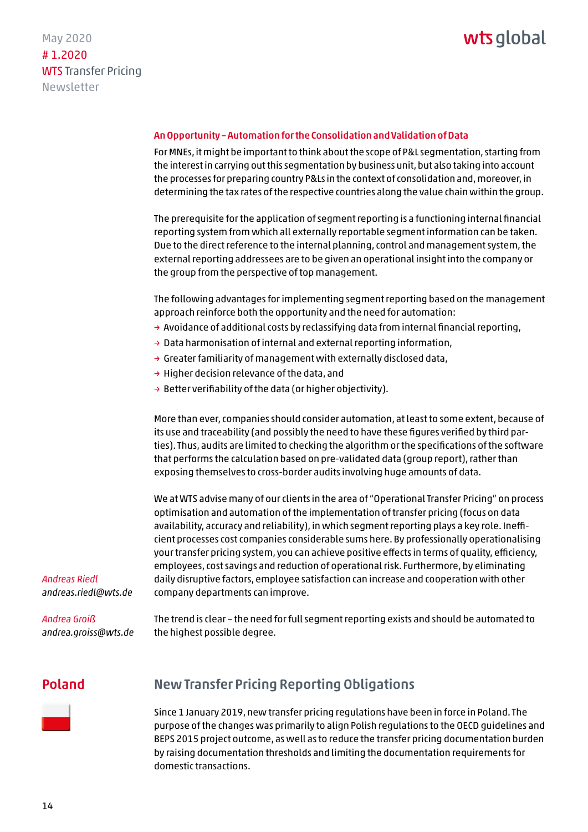

#### <span id="page-13-0"></span>An Opportunity – Automation for the Consolidation and Validation of Data

For MNEs, it might be important to think about the scope of P&L segmentation, starting from the interest in carrying out this segmentation by business unit, but also taking into account the processes for preparing country P&Ls in the context of consolidation and, moreover, in determining the tax rates of the respective countries along the value chain within the group.

The prerequisite for the application of segment reporting is a functioning internal financial reporting system from which all externally reportable segment information can be taken. Due to the direct reference to the internal planning, control and management system, the external reporting addressees are to be given an operational insight into the company or the group from the perspective of top management.

The following advantages for implementing segment reporting based on the management approach reinforce both the opportunity and the need for automation:

- $\rightarrow$  Avoidance of additional costs by reclassifying data from internal financial reporting,
- $\rightarrow$  Data harmonisation of internal and external reporting information,
- $\rightarrow$  Greater familiarity of management with externally disclosed data,
- → Higher decision relevance of the data, and
- $\rightarrow$  Better verifiability of the data (or higher objectivity).

More than ever, companies should consider automation, at least to some extent, because of its use and traceability (and possibly the need to have these figures verified by third parties). Thus, audits are limited to checking the algorithm or the specifications of the software that performs the calculation based on pre-validated data (group report), rather than exposing themselves to cross-border audits involving huge amounts of data.

We at WTS advise many of our clients in the area of "Operational Transfer Pricing" on process optimisation and automation of the implementation of transfer pricing (focus on data availability, accuracy and reliability), in which segment reporting plays a key role. Inefficient processes cost companies considerable sums here. By professionally operationalising your transfer pricing system, you can achieve positive effects in terms of quality, efficiency, employees, cost savings and reduction of operational risk. Furthermore, by eliminating daily disruptive factors, employee satisfaction can increase and cooperation with other company departments can improve.

*Andreas Riedl andreas.riedl@wts.de*

#### *Andrea Groiß*

*andrea.groiss@wts.de*

The trend is clear – the need for full segment reporting exists and should be automated to the highest possible degree.

#### Poland



#### New Transfer Pricing Reporting Obligations

Since 1 January 2019, new transfer pricing regulations have been in force in Poland. The purpose of the changes was primarily to align Polish regulations to the OECD guidelines and BEPS 2015 project outcome, as well as to reduce the transfer pricing documentation burden by raising documentation thresholds and limiting the documentation requirements for domestic transactions.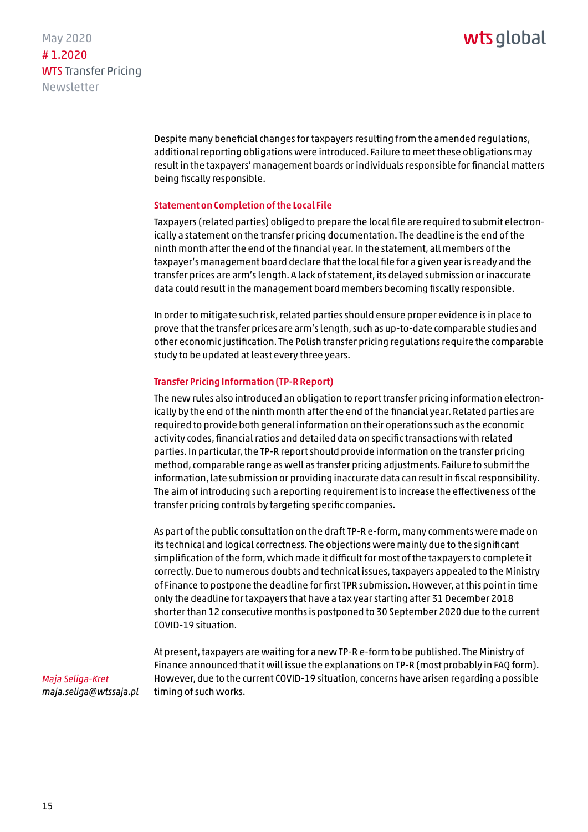May 2020 # 1.2020 WTS Transfer Pricing Newsletter

> Despite many beneficial changes for taxpayers resulting from the amended regulations, additional reporting obligations were introduced. Failure to meet these obligations may result in the taxpayers' management boards or individuals responsible for financial matters being fiscally responsible.

#### Statement on Completion of the Local File

Taxpayers (related parties) obliged to prepare the local file are required to submit electronically a statement on the transfer pricing documentation. The deadline is the end of the ninth month after the end of the financial year. In the statement, all members of the taxpayer's management board declare that the local file for a given year is ready and the transfer prices are arm's length. A lack of statement, its delayed submission or inaccurate data could result in the management board members becoming fiscally responsible.

In order to mitigate such risk, related parties should ensure proper evidence is in place to prove that the transfer prices are arm's length, such as up-to-date comparable studies and other economic justification. The Polish transfer pricing regulations require the comparable study to be updated at least every three years.

#### Transfer Pricing Information (TP-R Report)

The new rules also introduced an obligation to report transfer pricing information electronically by the end of the ninth month after the end of the financial year. Related parties are required to provide both general information on their operations such as the economic activity codes, financial ratios and detailed data on specific transactions with related parties. In particular, the TP-R report should provide information on the transfer pricing method, comparable range as well as transfer pricing adjustments. Failure to submit the information, late submission or providing inaccurate data can result in fiscal responsibility. The aim of introducing such a reporting requirement is to increase the effectiveness of the transfer pricing controls by targeting specific companies.

As part of the public consultation on the draft TP-R e-form, many comments were made on its technical and logical correctness. The objections were mainly due to the significant simplification of the form, which made it difficult for most of the taxpayers to complete it correctly. Due to numerous doubts and technical issues, taxpayers appealed to the Ministry of Finance to postpone the deadline for first TPR submission. However, at this point in time only the deadline for taxpayers that have a tax year starting after 31 December 2018 shorter than 12 consecutive months is postponed to 30 September 2020 due to the current COVID-19 situation.

At present, taxpayers are waiting for a new TP-R e-form to be published. The Ministry of Finance announced that it will issue the explanations on TP-R (most probably in FAQ form). However, due to the current COVID-19 situation, concerns have arisen regarding a possible timing of such works.

*Maja Seliga-Kret maja.seliga@wtssaja.pl*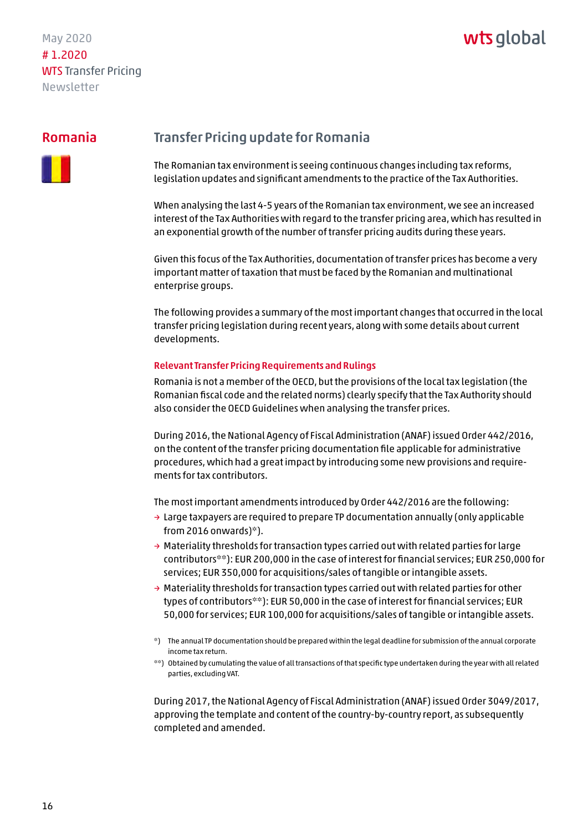### wts global

#### <span id="page-15-0"></span>Romania



#### Transfer Pricing update for Romania

The Romanian tax environment is seeing continuous changes including tax reforms, legislation updates and significant amendments to the practice of the Tax Authorities.

When analysing the last 4-5 years of the Romanian tax environment, we see an increased interest of the Tax Authorities with regard to the transfer pricing area, which has resulted in an exponential growth of the number of transfer pricing audits during these years.

Given this focus of the Tax Authorities, documentation of transfer prices has become a very important matter of taxation that must be faced by the Romanian and multinational enterprise groups.

The following provides a summary of the most important changes that occurred in the local transfer pricing legislation during recent years, along with some details about current developments.

#### Relevant Transfer Pricing Requirements and Rulings

Romania is not a member of the OECD, but the provisions of the local tax legislation (the Romanian fiscal code and the related norms) clearly specify that the Tax Authority should also consider the OECD Guidelines when analysing the transfer prices.

During 2016, the National Agency of Fiscal Administration (ANAF) issued Order 442/2016, on the content of the transfer pricing documentation file applicable for administrative procedures, which had a great impact by introducing some new provisions and requirements for tax contributors.

The most important amendments introduced by Order 442/2016 are the following:

- → Large taxpayers are required to prepare TP documentation annually (only applicable from 2016 onwards)\*).
- $\rightarrow$  Materiality thresholds for transaction types carried out with related parties for large contributors\*\*): EUR 200,000 in the case of interest for financial services; EUR 250,000 for services; EUR 350,000 for acquisitions/sales of tangible or intangible assets.
- $\rightarrow$  Materiality thresholds for transaction types carried out with related parties for other types of contributors\*\*): EUR 50,000 in the case of interest for financial services; EUR 50,000 for services; EUR 100,000 for acquisitions/sales of tangible or intangible assets.
- \*) The annual TP documentation should be prepared within the legal deadline for submission of the annual corporate income tax return.
- \*\*) Obtained by cumulating the value of all transactions of that specific type undertaken during the year with all related parties, excluding VAT.

During 2017, the National Agency of Fiscal Administration (ANAF) issued Order 3049/2017, approving the template and content of the country-by-country report, as subsequently completed and amended.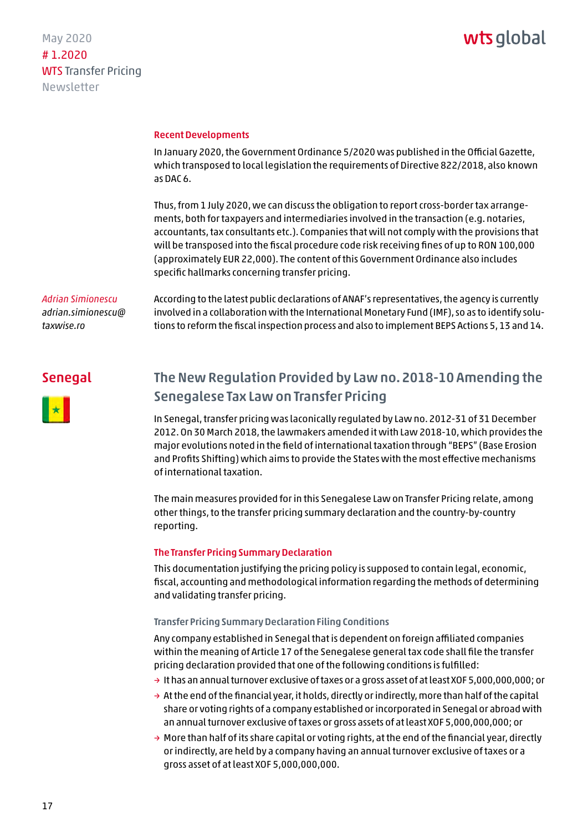### wts global

#### <span id="page-16-0"></span>Recent Developments

In January 2020, the Government Ordinance 5/2020 was published in the Official Gazette, which transposed to local legislation the requirements of Directive 822/2018, also known as DAC 6.

Thus, from 1 July 2020, we can discuss the obligation to report cross-border tax arrangements, both for taxpayers and intermediaries involved in the transaction (e.g. notaries, accountants, tax consultants etc.). Companies that will not comply with the provisions that will be transposed into the fiscal procedure code risk receiving fines of up to RON 100,000 (approximately EUR 22,000). The content of this Government Ordinance also includes specific hallmarks concerning transfer pricing.

#### *Adrian Simionescu [adrian.simionescu@](mailto:adrian.simionescu@taxwise.ro)*

*taxwise.ro*

According to the latest public declarations of ANAF's representatives, the agency is currently involved in a collaboration with the International Monetary Fund (IMF), so as to identify solutions to reform the fiscal inspection process and also to implement BEPS Actions 5, 13 and 14.

#### Senegal



#### The New Regulation Provided by Law no. 2018-10 Amending the Senegalese Tax Law on Transfer Pricing

In Senegal, transfer pricing was laconically regulated by Law no. 2012-31 of 31 December 2012. On 30 March 2018, the lawmakers amended it with Law 2018-10, which provides the major evolutions noted in the field of international taxation through "BEPS" (Base Erosion and Profits Shifting) which aims to provide the States with the most effective mechanisms of international taxation.

The main measures provided for in this Senegalese Law on Transfer Pricing relate, among other things, to the transfer pricing summary declaration and the country-by-country reporting.

#### The Transfer Pricing Summary Declaration

This documentation justifying the pricing policy is supposed to contain legal, economic, fiscal, accounting and methodological information regarding the methods of determining and validating transfer pricing.

#### Transfer Pricing Summary Declaration Filing Conditions

Any company established in Senegal that is dependent on foreign affiliated companies within the meaning of Article 17 of the Senegalese general tax code shall file the transfer pricing declaration provided that one of the following conditions is fulfilled:

- $\rightarrow$  It has an annual turnover exclusive of taxes or a gross asset of at least XOF 5,000,000,000; or
- $\rightarrow$  At the end of the financial year, it holds, directly or indirectly, more than half of the capital share or voting rights of a company established or incorporated in Senegal or abroad with an annual turnover exclusive of taxes or gross assets of at least XOF 5,000,000,000; or
- $\rightarrow$  More than half of its share capital or voting rights, at the end of the financial year, directly or indirectly, are held by a company having an annual turnover exclusive of taxes or a gross asset of at least XOF 5,000,000,000.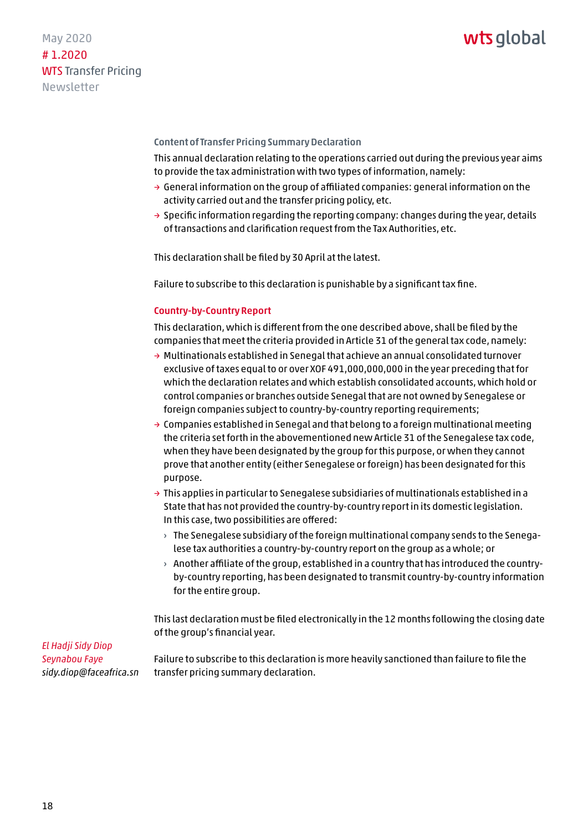#### Content of Transfer Pricing Summary Declaration

This annual declaration relating to the operations carried out during the previous year aims to provide the tax administration with two types of information, namely:

- $\rightarrow$  General information on the group of affiliated companies: general information on the activity carried out and the transfer pricing policy, etc.
- $\rightarrow$  Specific information regarding the reporting company: changes during the year, details of transactions and clarification request from the Tax Authorities, etc.

This declaration shall be filed by 30 April at the latest.

Failure to subscribe to this declaration is punishable by a significant tax fine.

#### Country-by-Country Report

This declaration, which is different from the one described above, shall be filed by the companies that meet the criteria provided in Article 31 of the general tax code, namely:

- → Multinationals established in Senegal that achieve an annual consolidated turnover exclusive of taxes equal to or over XOF 491,000,000,000 in the year preceding that for which the declaration relates and which establish consolidated accounts, which hold or control companies or branches outside Senegal that are not owned by Senegalese or foreign companies subject to country-by-country reporting requirements;
- $\rightarrow$  Companies established in Senegal and that belong to a foreign multinational meeting the criteria set forth in the abovementioned new Article 31 of the Senegalese tax code, when they have been designated by the group for this purpose, or when they cannot prove that another entity (either Senegalese or foreign) has been designated for this purpose.
- $\rightarrow$  This applies in particular to Senegalese subsidiaries of multinationals established in a State that has not provided the country-by-country report in its domestic legislation. In this case, two possibilities are offered:
	- $\rightarrow$  The Senegalese subsidiary of the foreign multinational company sends to the Senegalese tax authorities a country-by-country report on the group as a whole; or
	- $\rightarrow$  Another affiliate of the group, established in a country that has introduced the countryby-country reporting, has been designated to transmit country-by-country information for the entire group.

This last declaration must be filed electronically in the 12 months following the closing date of the group's financial year.

*El Hadji Sidy Diop Seynabou Faye sidy.diop@faceafrica.sn*

Failure to subscribe to this declaration is more heavily sanctioned than failure to file the transfer pricing summary declaration.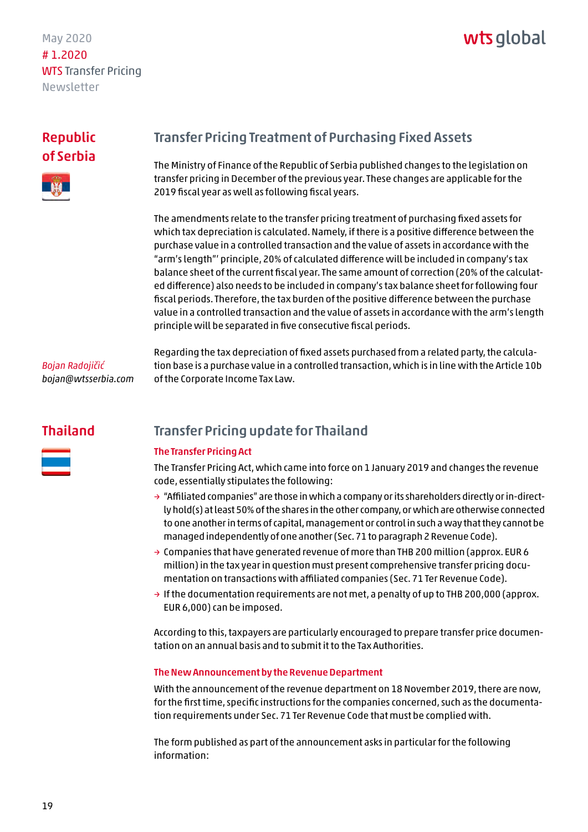## wts alobal

#### <span id="page-18-0"></span>Republic of Serbia



#### Transfer Pricing Treatment of Purchasing Fixed Assets

The Ministry of Finance of the Republic of Serbia published changes to the legislation on transfer pricing in December of the previous year. These changes are applicable for the 2019 fiscal year as well as following fiscal years.

The amendments relate to the transfer pricing treatment of purchasing fixed assets for which tax depreciation is calculated. Namely, if there is a positive difference between the purchase value in a controlled transaction and the value of assets in accordance with the "arm's length"' principle, 20% of calculated difference will be included in company's tax balance sheet of the current fiscal year. The same amount of correction (20% of the calculated difference) also needs to be included in company's tax balance sheet for following four fiscal periods. Therefore, the tax burden of the positive difference between the purchase value in a controlled transaction and the value of assets in accordance with the arm's length principle will be separated in five consecutive fiscal periods.

#### *Bojan Radojičić bojan@wtsserbia.com*

Regarding the tax depreciation of fixed assets purchased from a related party, the calculation base is a purchase value in a controlled transaction, which is in line with the Article 10b of the Corporate Income Tax Law.

#### Thailand



#### Transfer Pricing update for Thailand

#### The Transfer Pricing Act

The Transfer Pricing Act, which came into force on 1 January 2019 and changes the revenue code, essentially stipulates the following:

- $\rightarrow$  "Affiliated companies" are those in which a company or its shareholders directly or in-directly hold(s) at least 50% of the shares in the other company, or which are otherwise connected to one another in terms of capital, management or control in such a way that they cannot be managed independently of one another (Sec. 71 to paragraph 2 Revenue Code).
- $\rightarrow$  Companies that have generated revenue of more than THB 200 million (approx. EUR 6 million) in the tax year in question must present comprehensive transfer pricing documentation on transactions with affiliated companies (Sec. 71 Ter Revenue Code).
- $\rightarrow$  If the documentation requirements are not met, a penalty of up to THB 200,000 (approx. EUR 6,000) can be imposed.

According to this, taxpayers are particularly encouraged to prepare transfer price documentation on an annual basis and to submit it to the Tax Authorities.

#### The New Announcement by the Revenue Department

With the announcement of the revenue department on 18 November 2019, there are now, for the first time, specific instructions for the companies concerned, such as the documentation requirements under Sec. 71 Ter Revenue Code that must be complied with.

The form published as part of the announcement asks in particular for the following information: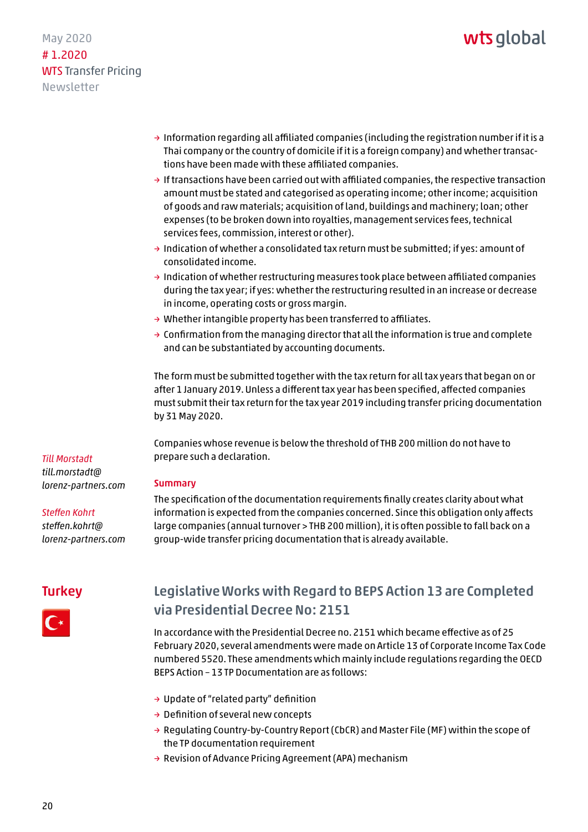#### <span id="page-19-0"></span>May 2020 # 1.2020 WTS Transfer Pricing Newsletter

- $\rightarrow$  Information regarding all affiliated companies (including the registration number if it is a Thai company or the country of domicile if it is a foreign company) and whether transactions have been made with these affiliated companies.
- $\rightarrow$  If transactions have been carried out with affiliated companies, the respective transaction amount must be stated and categorised as operating income; other income; acquisition of goods and raw materials; acquisition of land, buildings and machinery; loan; other expenses (to be broken down into royalties, management services fees, technical services fees, commission, interest or other).
- → Indication of whether a consolidated tax return must be submitted; if yes: amount of consolidated income.
- $\rightarrow$  Indication of whether restructuring measures took place between affiliated companies during the tax year; if yes: whether the restructuring resulted in an increase or decrease in income, operating costs or gross margin.
- → Whether intangible property has been transferred to affiliates.
- $\rightarrow$  Confirmation from the managing director that all the information is true and complete and can be substantiated by accounting documents.

The form must be submitted together with the tax return for all tax years that began on or after 1 January 2019. Unless a different tax year has been specified, affected companies must submit their tax return for the tax year 2019 including transfer pricing documentation by 31 May 2020.

Companies whose revenue is below the threshold of THB 200 million do not have to prepare such a declaration.

#### Summary

The specification of the documentation requirements finally creates clarity about what information is expected from the companies concerned. Since this obligation only affects large companies (annual turnover > THB 200 million), it is often possible to fall back on a group-wide transfer pricing documentation that is already available.

### **Turkey**

*Till Morstadt till.morstadt@ [lorenz-partners.com](mailto:till.morstadt@lorenz-partners.com)*

*Steffen Kohrt steffen.kohrt@ [lorenz-partners.com](mailto:steffen.kohrt@lorenz-partners.com)* 



#### Legislative Works with Regard to BEPS Action 13 are Completed via Presidential Decree No: 2151

In accordance with the Presidential Decree no. 2151 which became effective as of 25 February 2020, several amendments were made on Article 13 of Corporate Income Tax Code numbered 5520. These amendments which mainly include regulations regarding the OECD BEPS Action – 13 TP Documentation are as follows:

- → Update of "related party" definition
- $\rightarrow$  Definition of several new concepts
- → Regulating Country-by-Country Report (CbCR) and Master File (MF) within the scope of the TP documentation requirement
- → Revision of Advance Pricing Agreement (APA) mechanism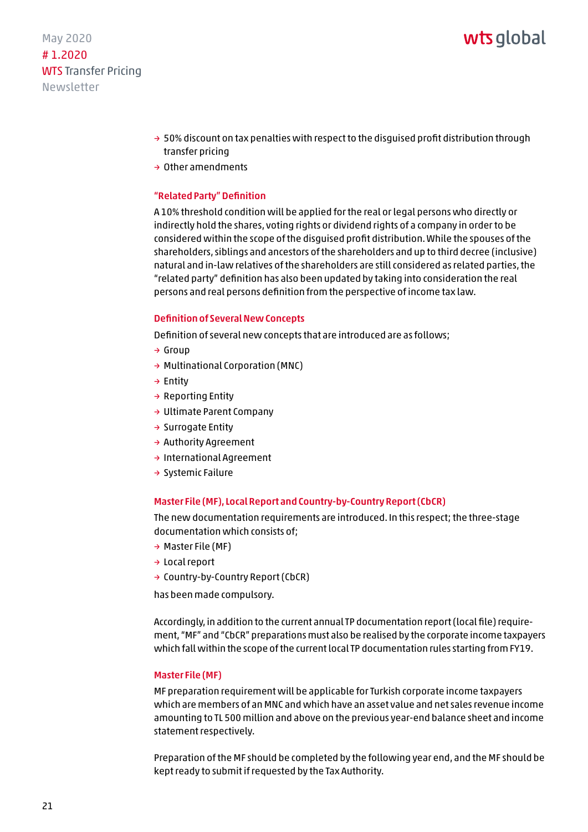### wts alobal

May 2020 # 1.2020 WTS Transfer Pricing Newsletter

- $\rightarrow$  50% discount on tax penalties with respect to the disquised profit distribution through transfer pricing
- → Other amendments

#### "Related Party" Definition

A 10% threshold condition will be applied for the real or legal persons who directly or indirectly hold the shares, voting rights or dividend rights of a company in order to be considered within the scope of the disguised profit distribution. While the spouses of the shareholders, siblings and ancestors of the shareholders and up to third decree (inclusive) natural and in-law relatives of the shareholders are still considered as related parties, the "related party" definition has also been updated by taking into consideration the real persons and real persons definition from the perspective of income tax law.

#### Definition of Several New Concepts

Definition of several new concepts that are introduced are as follows;

- → Group
- → Multinational Corporation (MNC)
- → Entity
- $\rightarrow$  Reporting Entity
- → Ultimate Parent Company
- → Surrogate Entity
- → Authority Agreement
- → International Agreement
- → Systemic Failure

#### Master File (MF), Local Report and Country-by-Country Report (CbCR)

The new documentation requirements are introduced. In this respect; the three-stage documentation which consists of;

- → Master File (MF)
- → Local report
- → Country-by-Country Report (CbCR)

has been made compulsory.

Accordingly, in addition to the current annual TP documentation report (local file) requirement, "MF" and "CbCR" preparations must also be realised by the corporate income taxpayers which fall within the scope of the current local TP documentation rules starting from FY19.

#### Master File (MF)

MF preparation requirement will be applicable for Turkish corporate income taxpayers which are members of an MNC and which have an asset value and net sales revenue income amounting to TL 500 million and above on the previous year-end balance sheet and income statement respectively.

Preparation of the MF should be completed by the following year end, and the MF should be kept ready to submit if requested by the Tax Authority.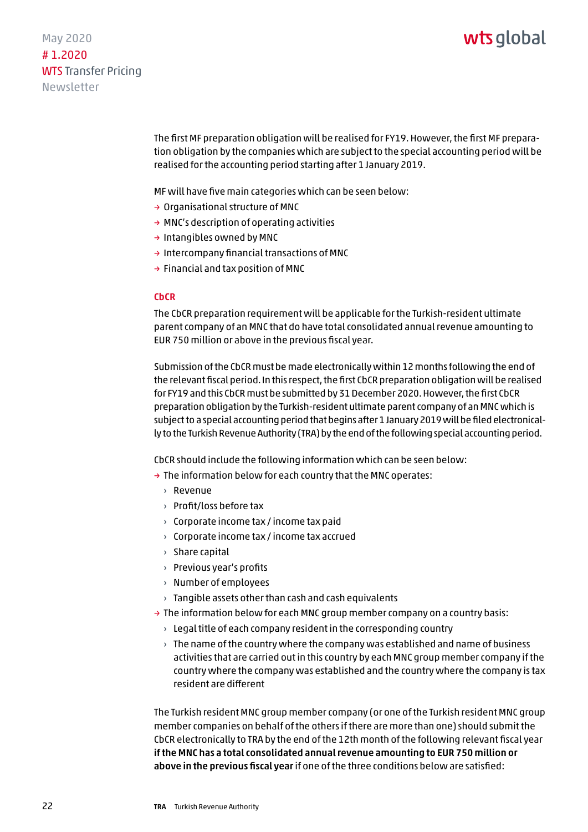### wts alobal

May 2020 # 1.2020 WTS Transfer Pricing Newsletter

> The first MF preparation obligation will be realised for FY19. However, the first MF preparation obligation by the companies which are subject to the special accounting period will be realised for the accounting period starting after 1 January 2019.

MF will have five main categories which can be seen below:

- → Organisational structure of MNC
- → MNC's description of operating activities
- → Intangibles owned by MNC
- → Intercompany financial transactions of MNC
- $\rightarrow$  Financial and tax position of MNC

#### **CbCR**

The CbCR preparation requirement will be applicable for the Turkish-resident ultimate parent company of an MNC that do have total consolidated annual revenue amounting to EUR 750 million or above in the previous fiscal year.

Submission of the CbCR must be made electronically within 12 months following the end of the relevant fiscal period. In this respect, the first CbCR preparation obligation will be realised for FY19 and this CbCR must be submitted by 31 December 2020. However, the first CbCR preparation obligation by the Turkish-resident ultimate parent company of an MNC which is subject to a special accounting period that begins after 1 January 2019 will be filed electronically to the Turkish Revenue Authority (TRA) by the end of the following special accounting period.

CbCR should include the following information which can be seen below:

- $\rightarrow$  The information below for each country that the MNC operates:
	- › Revenue
	- › Profit/loss before tax
	- › Corporate income tax / income tax paid
	- › Corporate income tax / income tax accrued
	- › Share capital
	- › Previous year's profits
	- › Number of employees
	- $\rightarrow$  Tangible assets other than cash and cash equivalents
- $\rightarrow$  The information below for each MNC group member company on a country basis:
	- $\rightarrow$  Legal title of each company resident in the corresponding country
	- $\rightarrow$  The name of the country where the company was established and name of business activities that are carried out in this country by each MNC group member company if the country where the company was established and the country where the company is tax resident are different

The Turkish resident MNC group member company (or one of the Turkish resident MNC group member companies on behalf of the others if there are more than one) should submit the CbCR electronically to TRA by the end of the 12th month of the following relevant fiscal year if the MNC has a total consolidated annual revenue amounting to EUR 750 million or above in the previous fiscal year if one of the three conditions below are satisfied: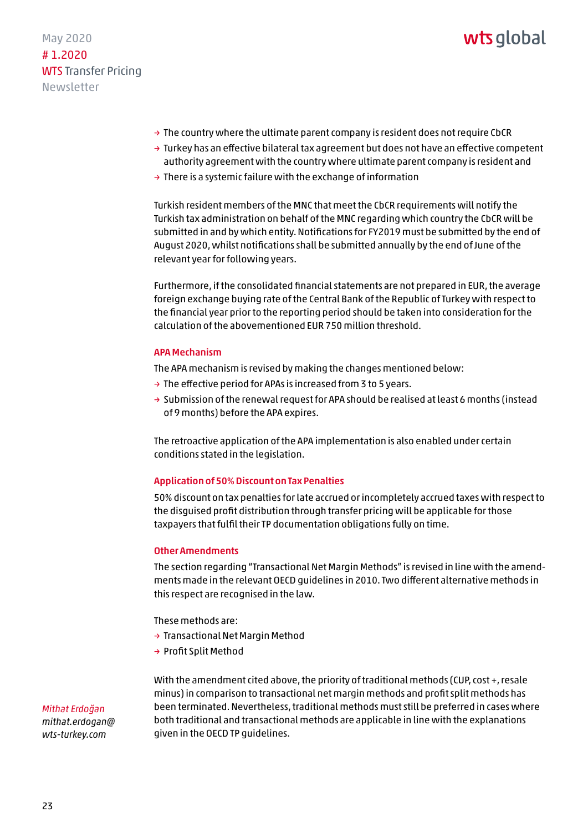

- $\rightarrow$  The country where the ultimate parent company is resident does not require CbCR
- $\rightarrow$  Turkey has an effective bilateral tax agreement but does not have an effective competent authority agreement with the country where ultimate parent company is resident and
- $\rightarrow$  There is a systemic failure with the exchange of information

Turkish resident members of the MNC that meet the CbCR requirements will notify the Turkish tax administration on behalf of the MNC regarding which country the CbCR will be submitted in and by which entity. Notifications for FY2019 must be submitted by the end of August 2020, whilst notifications shall be submitted annually by the end of June of the relevant year for following years.

Furthermore, if the consolidated financial statements are not prepared in EUR, the average foreign exchange buying rate of the Central Bank of the Republic of Turkey with respect to the financial year prior to the reporting period should be taken into consideration for the calculation of the abovementioned EUR 750 million threshold.

#### APA Mechanism

The APA mechanism is revised by making the changes mentioned below:

- $\rightarrow$  The effective period for APAs is increased from 3 to 5 years.
- $\rightarrow$  Submission of the renewal request for APA should be realised at least 6 months (instead of 9 months) before the APA expires.

The retroactive application of the APA implementation is also enabled under certain conditions stated in the legislation.

#### Application of 50% Discount on Tax Penalties

50% discount on tax penalties for late accrued or incompletely accrued taxes with respect to the disguised profit distribution through transfer pricing will be applicable for those taxpayers that fulfil their TP documentation obligations fully on time.

#### Other Amendments

The section regarding "Transactional Net Margin Methods" is revised in line with the amendments made in the relevant OECD guidelines in 2010. Two different alternative methods in this respect are recognised in the law.

These methods are:

- → Transactional Net Margin Method
- → Profit Split Method

With the amendment cited above, the priority of traditional methods (CUP, cost +, resale minus) in comparison to transactional net margin methods and profit split methods has been terminated. Nevertheless, traditional methods must still be preferred in cases where both traditional and transactional methods are applicable in line with the explanations given in the OECD TP guidelines.

*Mithat Erdoğan [mithat.erdogan@](mailto:mithat.erdogan@wts-turkey.com) wts-turkey.com*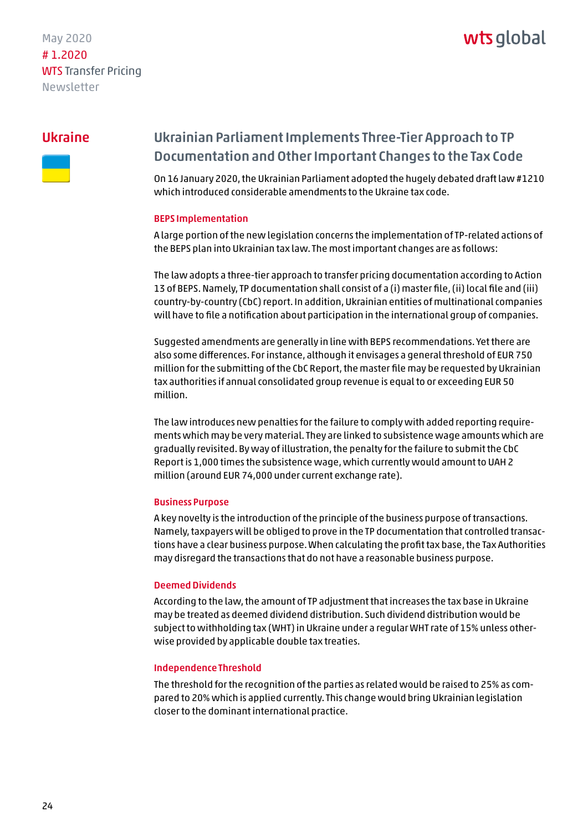### wts global

#### <span id="page-23-0"></span>Ukraine



### Ukrainian Parliament Implements Three-Tier Approach to TP Documentation and Other Important Changes to the Tax Code

On 16 January 2020, the Ukrainian Parliament adopted the hugely debated draft law #1210 which introduced considerable amendments to the Ukraine tax code.

#### BEPS Implementation

A large portion of the new legislation concerns the implementation of TP-related actions of the BEPS plan into Ukrainian tax law. The most important changes are as follows:

The law adopts a three-tier approach to transfer pricing documentation according to Action 13 of BEPS. Namely, TP documentation shall consist of a (i) master file, (ii) local file and (iii) country-by-country (CbC) report. In addition, Ukrainian entities of multinational companies will have to file a notification about participation in the international group of companies.

Suggested amendments are generally in line with BEPS recommendations. Yet there are also some differences. For instance, although it envisages a general threshold of EUR 750 million for the submitting of the CbC Report, the master file may be requested by Ukrainian tax authorities if annual consolidated group revenue is equal to or exceeding EUR 50 million.

The law introduces new penalties for the failure to comply with added reporting requirements which may be very material. They are linked to subsistence wage amounts which are gradually revisited. By way of illustration, the penalty for the failure to submit the CbC Report is 1,000 times the subsistence wage, which currently would amount to UAH 2 million (around EUR 74,000 under current exchange rate).

#### Business Purpose

A key novelty is the introduction of the principle of the business purpose of transactions. Namely, taxpayers will be obliged to prove in the TP documentation that controlled transactions have a clear business purpose. When calculating the profit tax base, the Tax Authorities may disregard the transactions that do not have a reasonable business purpose.

#### Deemed Dividends

According to the law, the amount of TP adjustment that increases the tax base in Ukraine may be treated as deemed dividend distribution. Such dividend distribution would be subject to withholding tax (WHT) in Ukraine under a regular WHT rate of 15% unless otherwise provided by applicable double tax treaties.

#### Independence Threshold

The threshold for the recognition of the parties as related would be raised to 25% as compared to 20% which is applied currently. This change would bring Ukrainian legislation closer to the dominant international practice.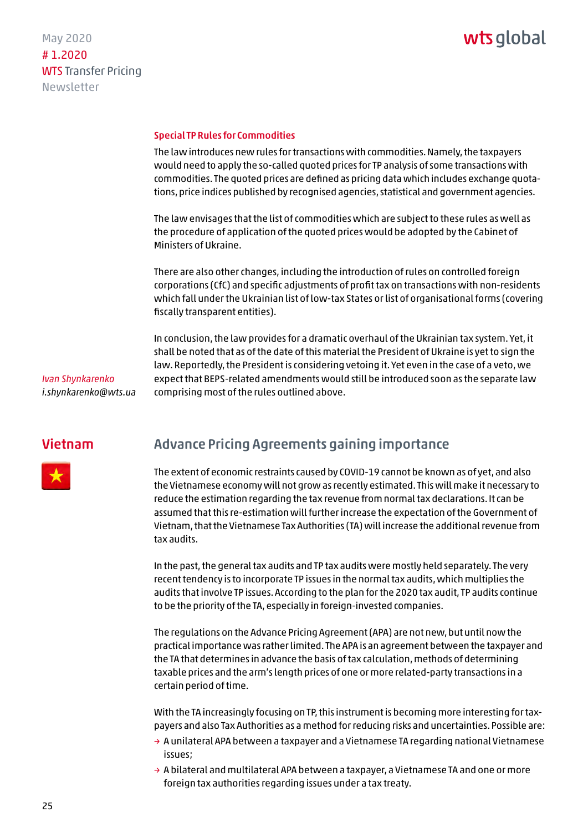### wts global

#### <span id="page-24-0"></span>Special TP Rules for Commodities

The law introduces new rules for transactions with commodities. Namely, the taxpayers would need to apply the so-called quoted prices for TP analysis of some transactions with commodities. The quoted prices are defined as pricing data which includes exchange quotations, price indices published by recognised agencies, statistical and government agencies.

The law envisages that the list of commodities which are subject to these rules as well as the procedure of application of the quoted prices would be adopted by the Cabinet of Ministers of Ukraine.

There are also other changes, including the introduction of rules on controlled foreign corporations (CfC) and specific adjustments of profit tax on transactions with non-residents which fall under the Ukrainian list of low-tax States or list of organisational forms (covering fiscally transparent entities).

In conclusion, the law provides for a dramatic overhaul of the Ukrainian tax system. Yet, it shall be noted that as of the date of this material the President of Ukraine is yet to sign the law. Reportedly, the President is considering vetoing it. Yet even in the case of a veto, we expect that BEPS-related amendments would still be introduced soon as the separate law comprising most of the rules outlined above.

*Ivan Shynkarenko i.shynkarenko@wts.ua*

#### Vietnam



The extent of economic restraints caused by COVID-19 cannot be known as of yet, and also the Vietnamese economy will not grow as recently estimated. This will make it necessary to reduce the estimation regarding the tax revenue from normal tax declarations. It can be assumed that this re-estimation will further increase the expectation of the Government of Vietnam, that the Vietnamese Tax Authorities (TA) will increase the additional revenue from tax audits.

In the past, the general tax audits and TP tax audits were mostly held separately. The very recent tendency is to incorporate TP issues in the normal tax audits, which multiplies the audits that involve TP issues. According to the plan for the 2020 tax audit, TP audits continue to be the priority of the TA, especially in foreign-invested companies.

The regulations on the Advance Pricing Agreement (APA) are not new, but until now the practical importance was rather limited. The APA is an agreement between the taxpayer and the TA that determines in advance the basis of tax calculation, methods of determining taxable prices and the arm's length prices of one or more related-party transactions in a certain period of time.

With the TA increasingly focusing on TP, this instrument is becoming more interesting for taxpayers and also Tax Authorities as a method for reducing risks and uncertainties. Possible are:

- $\rightarrow$  A unilateral APA between a taxpayer and a Vietnamese TA regarding national Vietnamese issues;
- $\rightarrow$  A bilateral and multilateral APA between a taxpayer, a Vietnamese TA and one or more foreign tax authorities regarding issues under a tax treaty.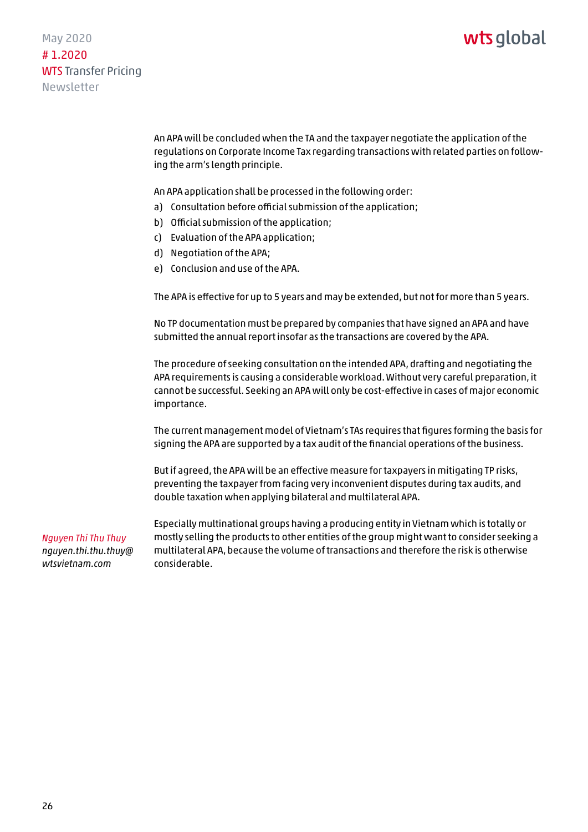### wts alobal

May 2020 # 1.2020 WTS Transfer Pricing Newsletter

> An APA will be concluded when the TA and the taxpayer negotiate the application of the regulations on Corporate Income Tax regarding transactions with related parties on following the arm's length principle.

An APA application shall be processed in the following order:

- a) Consultation before official submission of the application;
- b) Official submission of the application;
- c) Evaluation of the APA application;
- d) Negotiation of the APA;
- e) Conclusion and use of the APA.

The APA is effective for up to 5 years and may be extended, but not for more than 5 years.

No TP documentation must be prepared by companies that have signed an APA and have submitted the annual report insofar as the transactions are covered by the APA.

The procedure of seeking consultation on the intended APA, drafting and negotiating the APA requirements is causing a considerable workload. Without very careful preparation, it cannot be successful. Seeking an APA will only be cost-effective in cases of major economic importance.

The current management model of Vietnam's TAs requires that figures forming the basis for signing the APA are supported by a tax audit of the financial operations of the business.

But if agreed, the APA will be an effective measure for taxpayers in mitigating TP risks, preventing the taxpayer from facing very inconvenient disputes during tax audits, and double taxation when applying bilateral and multilateral APA.

*Nguyen Thi Thu Thuy [nguyen.thi.thu.thuy@](mailto:nguyen.thi.thu.thuy@wtsvietnam.com) wtsvietnam.com*

Especially multinational groups having a producing entity in Vietnam which is totally or mostly selling the products to other entities of the group might want to consider seeking a multilateral APA, because the volume of transactions and therefore the risk is otherwise considerable.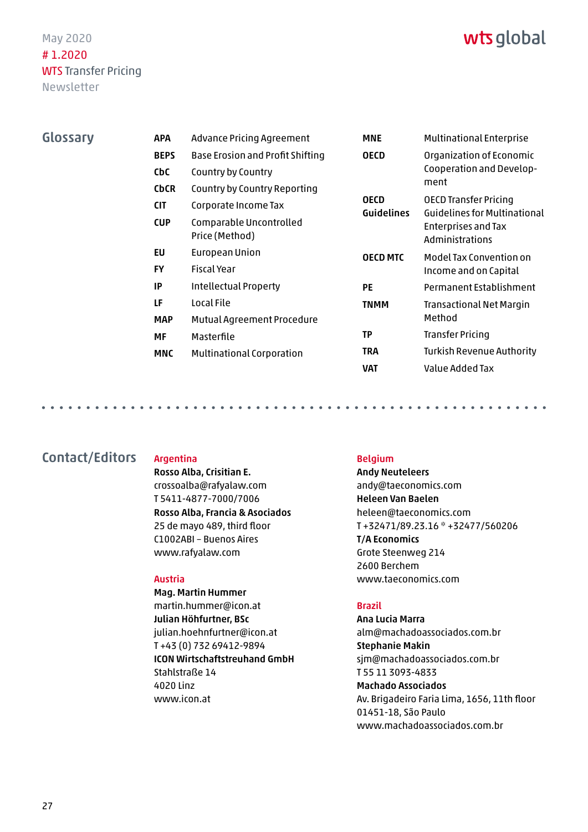<span id="page-26-0"></span>Glossary

### wts global

| <b>APA</b>  | Advance Pricing Agreement                 | <b>MNE</b>                                      | <b>Multinational Enterprise</b>                                                                                                                                        |
|-------------|-------------------------------------------|-------------------------------------------------|------------------------------------------------------------------------------------------------------------------------------------------------------------------------|
| <b>BEPS</b> | <b>Base Erosion and Profit Shifting</b>   | <b>OECD</b><br><b>OECD</b><br><b>Guidelines</b> | Organization of Economic<br>Cooperation and Develop-<br>ment<br>OECD Transfer Pricing<br><b>Guidelines for Multinational</b><br>Enterprises and Tax<br>Administrations |
| CbC         | Country by Country                        |                                                 |                                                                                                                                                                        |
| <b>CbCR</b> | Country by Country Reporting              |                                                 |                                                                                                                                                                        |
| <b>CIT</b>  | Corporate Income Tax                      |                                                 |                                                                                                                                                                        |
| <b>CUP</b>  | Comparable Uncontrolled<br>Price (Method) |                                                 |                                                                                                                                                                        |
| EU          | European Union                            | <b>OECD MTC</b>                                 | Model Tax Convention on<br>Income and on Capital                                                                                                                       |
| <b>FY</b>   | <b>Fiscal Year</b>                        |                                                 |                                                                                                                                                                        |
| <b>IP</b>   | Intellectual Property                     | <b>PE</b>                                       | Permanent Establishment                                                                                                                                                |
| LF          | Local File                                | <b>TNMM</b>                                     | Transactional Net Margin                                                                                                                                               |
| <b>MAP</b>  | Mutual Agreement Procedure                |                                                 | Method                                                                                                                                                                 |
| МF          | Masterfile                                | TP                                              | Transfer Pricing                                                                                                                                                       |
| <b>MNC</b>  | <b>Multinational Corporation</b>          | <b>TRA</b>                                      | <b>Turkish Revenue Authority</b>                                                                                                                                       |
|             |                                           | <b>VAT</b>                                      | Value Added Tax                                                                                                                                                        |

Contact/Editors Argentina

Rosso Alba, Crisitian E. crossoalba@rafyalaw.com T 5411-4877-7000/7006 Rosso Alba, Francia & Asociados 25 de mayo 489, third floor C1002ABI – Buenos Aires www.rafyalaw.com

#### Austria

Mag. Martin Hummer martin.hummer@icon.at Julian Höhfurtner, BSc julian.hoehnfurtner@icon.at T +43 (0) 732 69412-9894 ICON Wirtschaftstreuhand GmbH Stahlstraße 14 4020 Linz www.icon.at

#### Belgium

Andy Neuteleers andy@taeconomics.com Heleen Van Baelen heleen@taeconomics.com T +32471/89.23.16 \* +32477/560206 T/A Economics Grote Steenweg 214 2600 Berchem www.taeconomics.com

#### Brazil

Ana Lucia Marra alm@machadoassociados.com.br Stephanie Makin sjm@machadoassociados.com.br T 55 11 3093-4833 Machado Associados Av. Brigadeiro Faria Lima, 1656, 11th floor 01451-18, São Paulo www.machadoassociados.com.br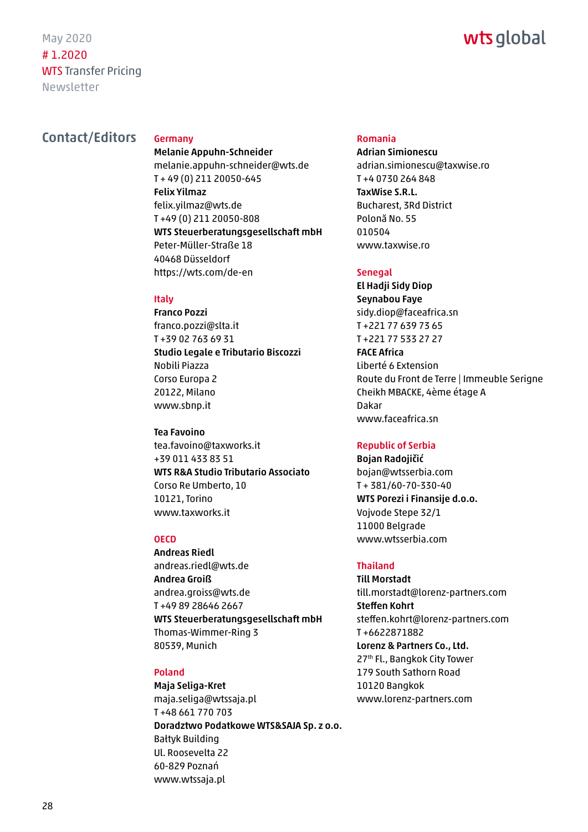### wts global

#### Contact/Editors Germany

Melanie Appuhn-Schneider melanie.appuhn-schneider@wts.de T + 49 (0) 211 20050-645 Felix Yilmaz felix.yilmaz@wts.de T +49 (0) 211 20050-808 WTS Steuerberatungsgesellschaft mbH Peter-Müller-Straße 18 40468 Düsseldorf https://wts.com/de-en

#### Italy

Franco Pozzi franco.pozzi@slta.it T +39 02 763 69 31 Studio Legale e Tributario Biscozzi Nobili Piazza Corso Europa 2 20122, Milano www.sbnp.it

#### Tea Favoino

tea.favoino@taxworks.it +39 011 433 83 51 WTS R&A Studio Tributario Associato Corso Re Umberto, 10 10121, Torino www.taxworks.it

#### **OECD**

Andreas Riedl andreas.riedl@wts.de Andrea Groiß andrea.groiss@wts.de T +49 89 28646 2667 WTS Steuerberatungsgesellschaft mbH Thomas-Wimmer-Ring 3 80539, Munich

#### Poland

Maja Seliga-Kret maja.seliga@wtssaja.pl T +48 661 770 703 Doradztwo Podatkowe WTS&SAJA Sp. z o.o. Bałtyk Building Ul. Roosevelta 22 60-829 Poznań www.wtssaja.pl

#### Romania

Adrian Simionescu adrian.simionescu@taxwise.ro T +4 0730 264 848 TaxWise S.R.L. Bucharest, 3Rd District Polonă No. 55 010504 www.taxwise.ro

#### Senegal

El Hadji Sidy Diop Seynabou Faye sidy.diop@faceafrica.sn T +221 77 639 73 65 T +221 77 533 27 27 FACE Africa Liberté 6 Extension Route du Front de Terre | Immeuble Serigne Cheikh MBACKE, 4ème étage A Dakar www.faceafrica.sn

#### Republic of Serbia

Bojan Radojičić bojan@wtsserbia.com T + 381/60-70-330-40 WTS Porezi i Finansije d.o.o. Vojvode Stepe 32/1 11000 Belgrade www.wtsserbia.com

#### Thailand

Till Morstadt till.morstadt@lorenz-partners.com Steffen Kohrt steffen.kohrt@lorenz-partners.com T +6622871882 Lorenz & Partners Co., Ltd. 27th Fl., Bangkok City Tower 179 South Sathorn Road 10120 Bangkok www.lorenz-partners.com